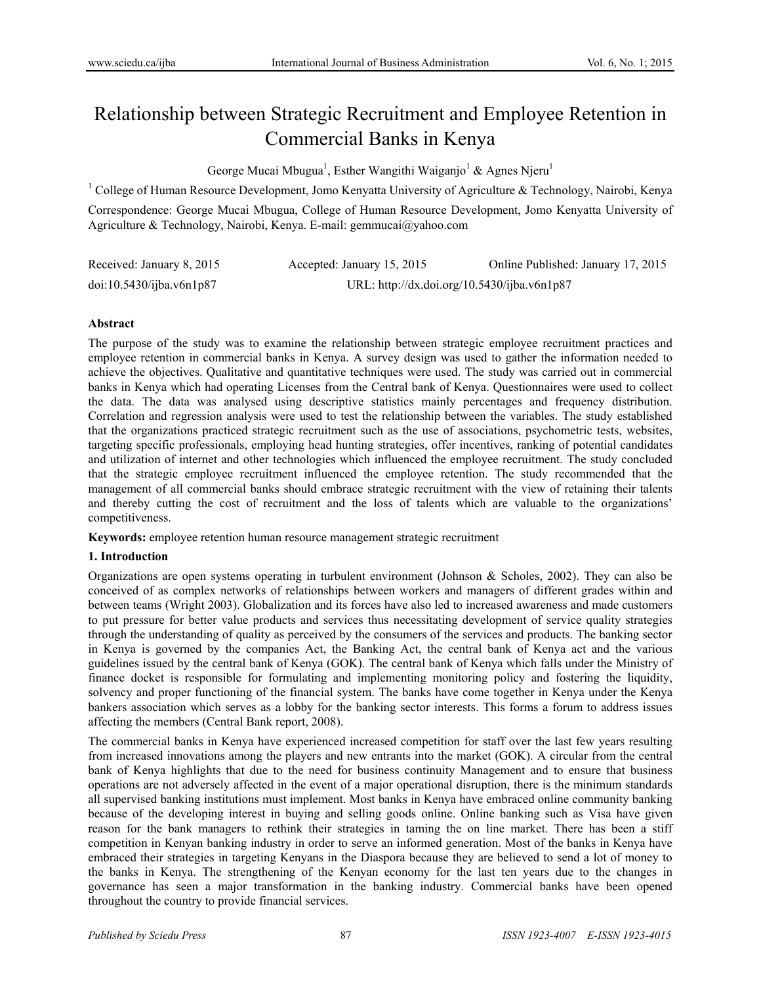# Relationship between Strategic Recruitment and Employee Retention in Commercial Banks in Kenya

George Mucai Mbugua<sup>1</sup>, Esther Wangithi Waiganjo<sup>1</sup> & Agnes Njeru<sup>1</sup>

<sup>1</sup> College of Human Resource Development, Jomo Kenyatta University of Agriculture & Technology, Nairobi, Kenya

Correspondence: George Mucai Mbugua, College of Human Resource Development, Jomo Kenyatta University of Agriculture & Technology, Nairobi, Kenya. E-mail: gemmucai@yahoo.com

| Received: January 8, 2015 | Accepted: January 15, 2015                  | Online Published: January 17, 2015 |
|---------------------------|---------------------------------------------|------------------------------------|
| doi:10.5430/ijba.v6n1p87  | URL: http://dx.doi.org/10.5430/ijba.v6n1p87 |                                    |

# **Abstract**

The purpose of the study was to examine the relationship between strategic employee recruitment practices and employee retention in commercial banks in Kenya. A survey design was used to gather the information needed to achieve the objectives. Qualitative and quantitative techniques were used. The study was carried out in commercial banks in Kenya which had operating Licenses from the Central bank of Kenya. Questionnaires were used to collect the data. The data was analysed using descriptive statistics mainly percentages and frequency distribution. Correlation and regression analysis were used to test the relationship between the variables. The study established that the organizations practiced strategic recruitment such as the use of associations, psychometric tests, websites, targeting specific professionals, employing head hunting strategies, offer incentives, ranking of potential candidates and utilization of internet and other technologies which influenced the employee recruitment. The study concluded that the strategic employee recruitment influenced the employee retention. The study recommended that the management of all commercial banks should embrace strategic recruitment with the view of retaining their talents and thereby cutting the cost of recruitment and the loss of talents which are valuable to the organizations' competitiveness.

**Keywords:** employee retention human resource management strategic recruitment

# **1. Introduction**

Organizations are open systems operating in turbulent environment (Johnson & Scholes, 2002). They can also be conceived of as complex networks of relationships between workers and managers of different grades within and between teams (Wright 2003). Globalization and its forces have also led to increased awareness and made customers to put pressure for better value products and services thus necessitating development of service quality strategies through the understanding of quality as perceived by the consumers of the services and products. The banking sector in Kenya is governed by the companies Act, the Banking Act, the central bank of Kenya act and the various guidelines issued by the central bank of Kenya (GOK). The central bank of Kenya which falls under the Ministry of finance docket is responsible for formulating and implementing monitoring policy and fostering the liquidity, solvency and proper functioning of the financial system. The banks have come together in Kenya under the Kenya bankers association which serves as a lobby for the banking sector interests. This forms a forum to address issues affecting the members (Central Bank report, 2008).

The commercial banks in Kenya have experienced increased competition for staff over the last few years resulting from increased innovations among the players and new entrants into the market (GOK). A circular from the central bank of Kenya highlights that due to the need for business continuity Management and to ensure that business operations are not adversely affected in the event of a major operational disruption, there is the minimum standards all supervised banking institutions must implement. Most banks in Kenya have embraced online community banking because of the developing interest in buying and selling goods online. Online banking such as Visa have given reason for the bank managers to rethink their strategies in taming the on line market. There has been a stiff competition in Kenyan banking industry in order to serve an informed generation. Most of the banks in Kenya have embraced their strategies in targeting Kenyans in the Diaspora because they are believed to send a lot of money to the banks in Kenya. The strengthening of the Kenyan economy for the last ten years due to the changes in governance has seen a major transformation in the banking industry. Commercial banks have been opened throughout the country to provide financial services.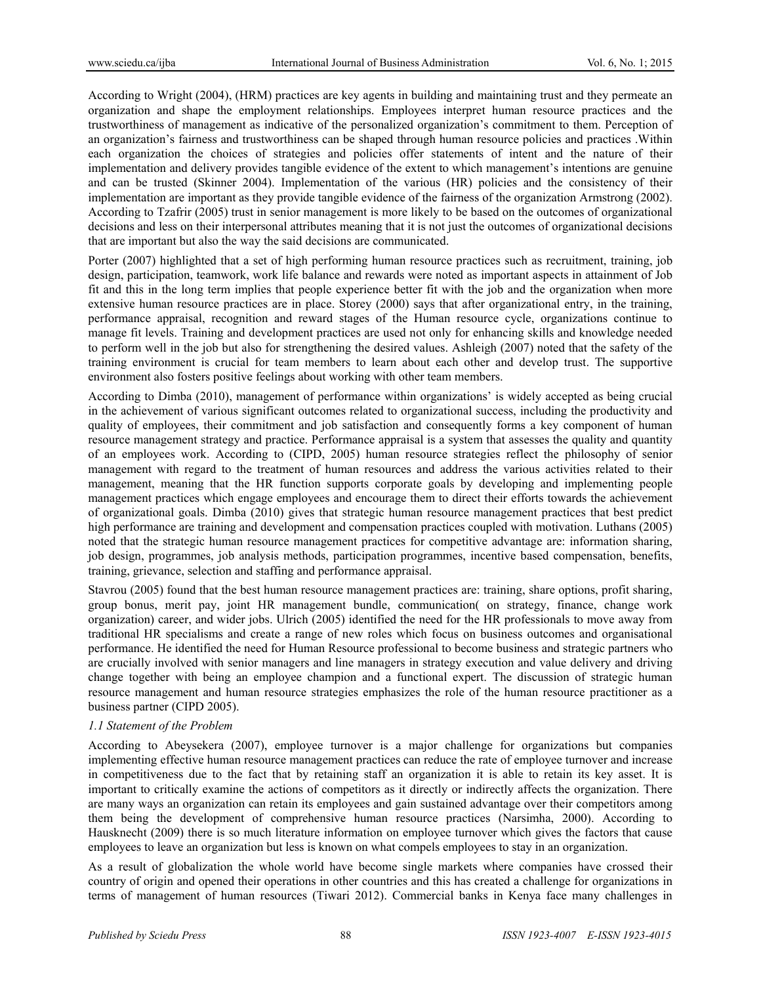According to Wright (2004), (HRM) practices are key agents in building and maintaining trust and they permeate an organization and shape the employment relationships. Employees interpret human resource practices and the trustworthiness of management as indicative of the personalized organization's commitment to them. Perception of an organization's fairness and trustworthiness can be shaped through human resource policies and practices .Within each organization the choices of strategies and policies offer statements of intent and the nature of their implementation and delivery provides tangible evidence of the extent to which management's intentions are genuine and can be trusted (Skinner 2004). Implementation of the various (HR) policies and the consistency of their implementation are important as they provide tangible evidence of the fairness of the organization Armstrong (2002). According to Tzafrir (2005) trust in senior management is more likely to be based on the outcomes of organizational decisions and less on their interpersonal attributes meaning that it is not just the outcomes of organizational decisions that are important but also the way the said decisions are communicated.

Porter (2007) highlighted that a set of high performing human resource practices such as recruitment, training, job design, participation, teamwork, work life balance and rewards were noted as important aspects in attainment of Job fit and this in the long term implies that people experience better fit with the job and the organization when more extensive human resource practices are in place. Storey (2000) says that after organizational entry, in the training, performance appraisal, recognition and reward stages of the Human resource cycle, organizations continue to manage fit levels. Training and development practices are used not only for enhancing skills and knowledge needed to perform well in the job but also for strengthening the desired values. Ashleigh (2007) noted that the safety of the training environment is crucial for team members to learn about each other and develop trust. The supportive environment also fosters positive feelings about working with other team members.

According to Dimba (2010), management of performance within organizations' is widely accepted as being crucial in the achievement of various significant outcomes related to organizational success, including the productivity and quality of employees, their commitment and job satisfaction and consequently forms a key component of human resource management strategy and practice. Performance appraisal is a system that assesses the quality and quantity of an employees work. According to (CIPD, 2005) human resource strategies reflect the philosophy of senior management with regard to the treatment of human resources and address the various activities related to their management, meaning that the HR function supports corporate goals by developing and implementing people management practices which engage employees and encourage them to direct their efforts towards the achievement of organizational goals. Dimba (2010) gives that strategic human resource management practices that best predict high performance are training and development and compensation practices coupled with motivation. Luthans (2005) noted that the strategic human resource management practices for competitive advantage are: information sharing, job design, programmes, job analysis methods, participation programmes, incentive based compensation, benefits, training, grievance, selection and staffing and performance appraisal.

Stavrou (2005) found that the best human resource management practices are: training, share options, profit sharing, group bonus, merit pay, joint HR management bundle, communication( on strategy, finance, change work organization) career, and wider jobs. Ulrich (2005) identified the need for the HR professionals to move away from traditional HR specialisms and create a range of new roles which focus on business outcomes and organisational performance. He identified the need for Human Resource professional to become business and strategic partners who are crucially involved with senior managers and line managers in strategy execution and value delivery and driving change together with being an employee champion and a functional expert. The discussion of strategic human resource management and human resource strategies emphasizes the role of the human resource practitioner as a business partner (CIPD 2005).

#### *1.1 Statement of the Problem*

According to Abeysekera (2007), employee turnover is a major challenge for organizations but companies implementing effective human resource management practices can reduce the rate of employee turnover and increase in competitiveness due to the fact that by retaining staff an organization it is able to retain its key asset. It is important to critically examine the actions of competitors as it directly or indirectly affects the organization. There are many ways an organization can retain its employees and gain sustained advantage over their competitors among them being the development of comprehensive human resource practices (Narsimha, 2000). According to Hausknecht (2009) there is so much literature information on employee turnover which gives the factors that cause employees to leave an organization but less is known on what compels employees to stay in an organization.

As a result of globalization the whole world have become single markets where companies have crossed their country of origin and opened their operations in other countries and this has created a challenge for organizations in terms of management of human resources (Tiwari 2012). Commercial banks in Kenya face many challenges in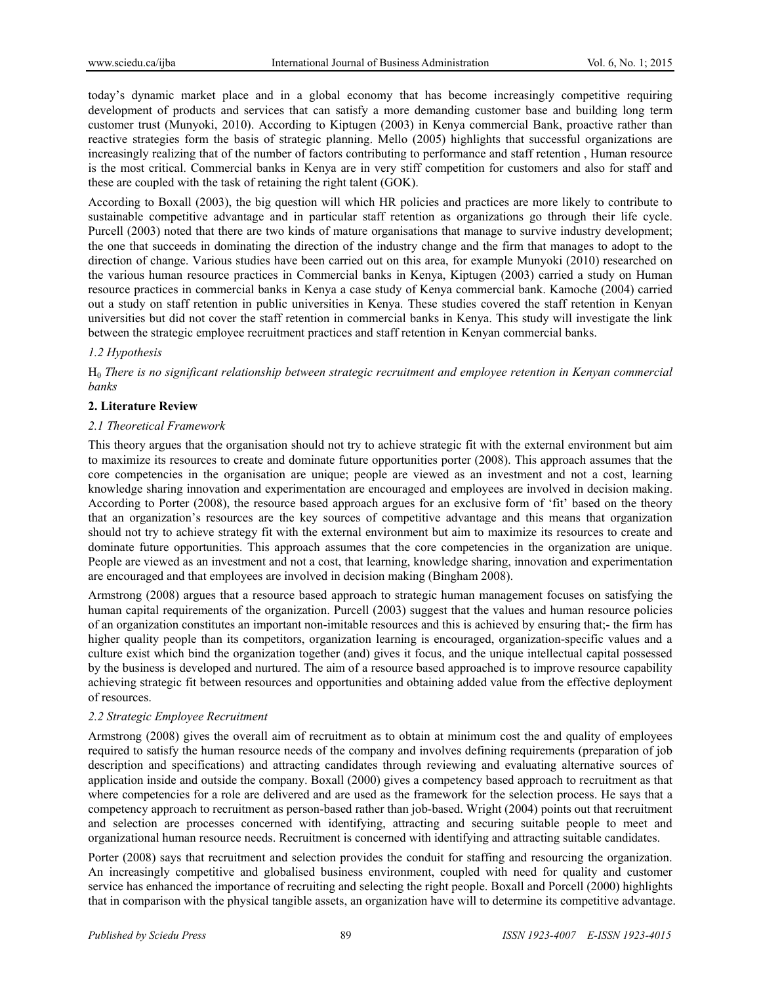today's dynamic market place and in a global economy that has become increasingly competitive requiring development of products and services that can satisfy a more demanding customer base and building long term customer trust (Munyoki, 2010). According to Kiptugen (2003) in Kenya commercial Bank, proactive rather than reactive strategies form the basis of strategic planning. Mello (2005) highlights that successful organizations are increasingly realizing that of the number of factors contributing to performance and staff retention , Human resource is the most critical. Commercial banks in Kenya are in very stiff competition for customers and also for staff and these are coupled with the task of retaining the right talent (GOK).

According to Boxall (2003), the big question will which HR policies and practices are more likely to contribute to sustainable competitive advantage and in particular staff retention as organizations go through their life cycle. Purcell (2003) noted that there are two kinds of mature organisations that manage to survive industry development; the one that succeeds in dominating the direction of the industry change and the firm that manages to adopt to the direction of change. Various studies have been carried out on this area, for example Munyoki (2010) researched on the various human resource practices in Commercial banks in Kenya, Kiptugen (2003) carried a study on Human resource practices in commercial banks in Kenya a case study of Kenya commercial bank. Kamoche (2004) carried out a study on staff retention in public universities in Kenya. These studies covered the staff retention in Kenyan universities but did not cover the staff retention in commercial banks in Kenya. This study will investigate the link between the strategic employee recruitment practices and staff retention in Kenyan commercial banks.

# *1.2 Hypothesis*

H0 *There is no significant relationship between strategic recruitment and employee retention in Kenyan commercial banks* 

# **2. Literature Review**

#### *2.1 Theoretical Framework*

This theory argues that the organisation should not try to achieve strategic fit with the external environment but aim to maximize its resources to create and dominate future opportunities porter (2008). This approach assumes that the core competencies in the organisation are unique; people are viewed as an investment and not a cost, learning knowledge sharing innovation and experimentation are encouraged and employees are involved in decision making. According to Porter (2008), the resource based approach argues for an exclusive form of 'fit' based on the theory that an organization's resources are the key sources of competitive advantage and this means that organization should not try to achieve strategy fit with the external environment but aim to maximize its resources to create and dominate future opportunities. This approach assumes that the core competencies in the organization are unique. People are viewed as an investment and not a cost, that learning, knowledge sharing, innovation and experimentation are encouraged and that employees are involved in decision making (Bingham 2008).

Armstrong (2008) argues that a resource based approach to strategic human management focuses on satisfying the human capital requirements of the organization. Purcell (2003) suggest that the values and human resource policies of an organization constitutes an important non-imitable resources and this is achieved by ensuring that;- the firm has higher quality people than its competitors, organization learning is encouraged, organization-specific values and a culture exist which bind the organization together (and) gives it focus, and the unique intellectual capital possessed by the business is developed and nurtured. The aim of a resource based approached is to improve resource capability achieving strategic fit between resources and opportunities and obtaining added value from the effective deployment of resources.

# *2.2 Strategic Employee Recruitment*

Armstrong (2008) gives the overall aim of recruitment as to obtain at minimum cost the and quality of employees required to satisfy the human resource needs of the company and involves defining requirements (preparation of job description and specifications) and attracting candidates through reviewing and evaluating alternative sources of application inside and outside the company. Boxall (2000) gives a competency based approach to recruitment as that where competencies for a role are delivered and are used as the framework for the selection process. He says that a competency approach to recruitment as person-based rather than job-based. Wright (2004) points out that recruitment and selection are processes concerned with identifying, attracting and securing suitable people to meet and organizational human resource needs. Recruitment is concerned with identifying and attracting suitable candidates.

Porter (2008) says that recruitment and selection provides the conduit for staffing and resourcing the organization. An increasingly competitive and globalised business environment, coupled with need for quality and customer service has enhanced the importance of recruiting and selecting the right people. Boxall and Porcell (2000) highlights that in comparison with the physical tangible assets, an organization have will to determine its competitive advantage.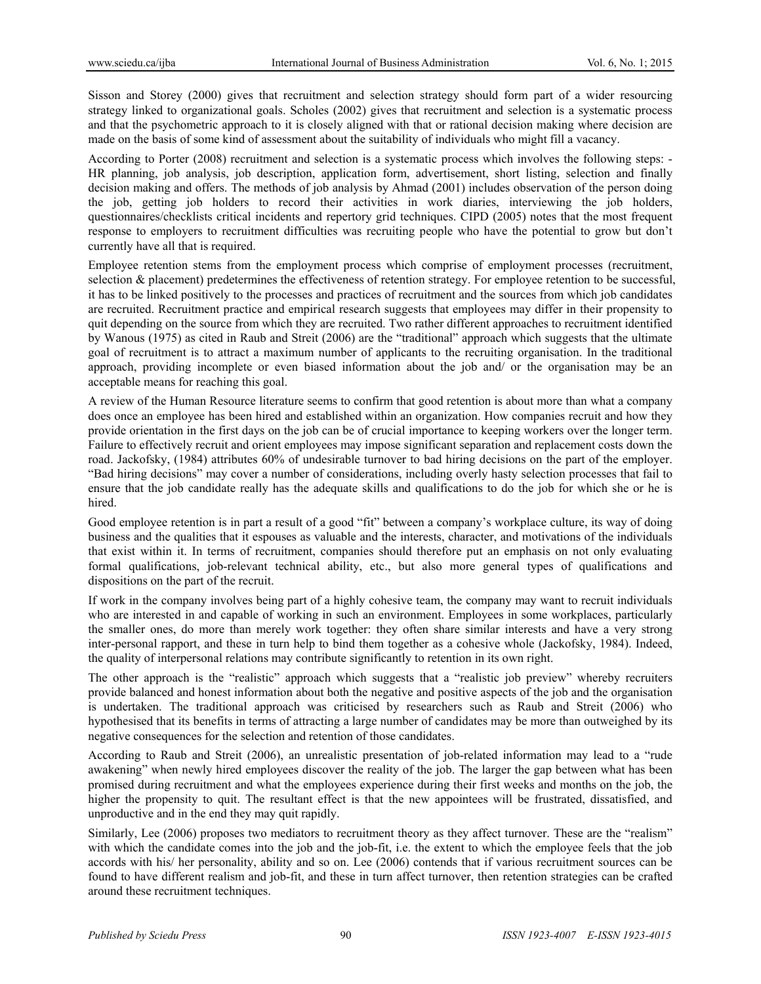Sisson and Storey (2000) gives that recruitment and selection strategy should form part of a wider resourcing strategy linked to organizational goals. Scholes (2002) gives that recruitment and selection is a systematic process and that the psychometric approach to it is closely aligned with that or rational decision making where decision are made on the basis of some kind of assessment about the suitability of individuals who might fill a vacancy.

According to Porter (2008) recruitment and selection is a systematic process which involves the following steps: - HR planning, job analysis, job description, application form, advertisement, short listing, selection and finally decision making and offers. The methods of job analysis by Ahmad (2001) includes observation of the person doing the job, getting job holders to record their activities in work diaries, interviewing the job holders, questionnaires/checklists critical incidents and repertory grid techniques. CIPD (2005) notes that the most frequent response to employers to recruitment difficulties was recruiting people who have the potential to grow but don't currently have all that is required.

Employee retention stems from the employment process which comprise of employment processes (recruitment, selection & placement) predetermines the effectiveness of retention strategy. For employee retention to be successful, it has to be linked positively to the processes and practices of recruitment and the sources from which job candidates are recruited. Recruitment practice and empirical research suggests that employees may differ in their propensity to quit depending on the source from which they are recruited. Two rather different approaches to recruitment identified by Wanous (1975) as cited in Raub and Streit (2006) are the "traditional" approach which suggests that the ultimate goal of recruitment is to attract a maximum number of applicants to the recruiting organisation. In the traditional approach, providing incomplete or even biased information about the job and/ or the organisation may be an acceptable means for reaching this goal.

A review of the Human Resource literature seems to confirm that good retention is about more than what a company does once an employee has been hired and established within an organization. How companies recruit and how they provide orientation in the first days on the job can be of crucial importance to keeping workers over the longer term. Failure to effectively recruit and orient employees may impose significant separation and replacement costs down the road. Jackofsky, (1984) attributes 60% of undesirable turnover to bad hiring decisions on the part of the employer. "Bad hiring decisions" may cover a number of considerations, including overly hasty selection processes that fail to ensure that the job candidate really has the adequate skills and qualifications to do the job for which she or he is hired.

Good employee retention is in part a result of a good "fit" between a company's workplace culture, its way of doing business and the qualities that it espouses as valuable and the interests, character, and motivations of the individuals that exist within it. In terms of recruitment, companies should therefore put an emphasis on not only evaluating formal qualifications, job-relevant technical ability, etc., but also more general types of qualifications and dispositions on the part of the recruit.

If work in the company involves being part of a highly cohesive team, the company may want to recruit individuals who are interested in and capable of working in such an environment. Employees in some workplaces, particularly the smaller ones, do more than merely work together: they often share similar interests and have a very strong inter-personal rapport, and these in turn help to bind them together as a cohesive whole (Jackofsky, 1984). Indeed, the quality of interpersonal relations may contribute significantly to retention in its own right.

The other approach is the "realistic" approach which suggests that a "realistic job preview" whereby recruiters provide balanced and honest information about both the negative and positive aspects of the job and the organisation is undertaken. The traditional approach was criticised by researchers such as Raub and Streit (2006) who hypothesised that its benefits in terms of attracting a large number of candidates may be more than outweighed by its negative consequences for the selection and retention of those candidates.

According to Raub and Streit (2006), an unrealistic presentation of job-related information may lead to a "rude awakening" when newly hired employees discover the reality of the job. The larger the gap between what has been promised during recruitment and what the employees experience during their first weeks and months on the job, the higher the propensity to quit. The resultant effect is that the new appointees will be frustrated, dissatisfied, and unproductive and in the end they may quit rapidly.

Similarly, Lee (2006) proposes two mediators to recruitment theory as they affect turnover. These are the "realism" with which the candidate comes into the job and the job-fit, i.e. the extent to which the employee feels that the job accords with his/ her personality, ability and so on. Lee (2006) contends that if various recruitment sources can be found to have different realism and job-fit, and these in turn affect turnover, then retention strategies can be crafted around these recruitment techniques.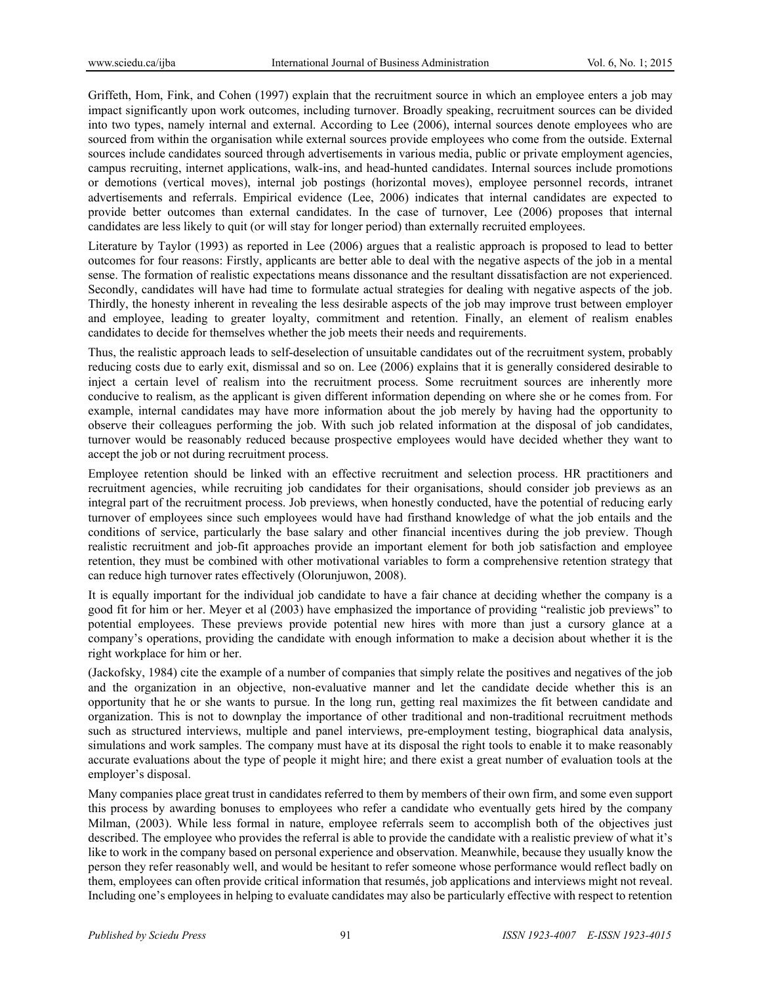Griffeth, Hom, Fink, and Cohen (1997) explain that the recruitment source in which an employee enters a job may impact significantly upon work outcomes, including turnover. Broadly speaking, recruitment sources can be divided into two types, namely internal and external. According to Lee (2006), internal sources denote employees who are sourced from within the organisation while external sources provide employees who come from the outside. External sources include candidates sourced through advertisements in various media, public or private employment agencies, campus recruiting, internet applications, walk-ins, and head-hunted candidates. Internal sources include promotions or demotions (vertical moves), internal job postings (horizontal moves), employee personnel records, intranet advertisements and referrals. Empirical evidence (Lee, 2006) indicates that internal candidates are expected to provide better outcomes than external candidates. In the case of turnover, Lee (2006) proposes that internal candidates are less likely to quit (or will stay for longer period) than externally recruited employees.

Literature by Taylor (1993) as reported in Lee (2006) argues that a realistic approach is proposed to lead to better outcomes for four reasons: Firstly, applicants are better able to deal with the negative aspects of the job in a mental sense. The formation of realistic expectations means dissonance and the resultant dissatisfaction are not experienced. Secondly, candidates will have had time to formulate actual strategies for dealing with negative aspects of the job. Thirdly, the honesty inherent in revealing the less desirable aspects of the job may improve trust between employer and employee, leading to greater loyalty, commitment and retention. Finally, an element of realism enables candidates to decide for themselves whether the job meets their needs and requirements.

Thus, the realistic approach leads to self-deselection of unsuitable candidates out of the recruitment system, probably reducing costs due to early exit, dismissal and so on. Lee (2006) explains that it is generally considered desirable to inject a certain level of realism into the recruitment process. Some recruitment sources are inherently more conducive to realism, as the applicant is given different information depending on where she or he comes from. For example, internal candidates may have more information about the job merely by having had the opportunity to observe their colleagues performing the job. With such job related information at the disposal of job candidates, turnover would be reasonably reduced because prospective employees would have decided whether they want to accept the job or not during recruitment process.

Employee retention should be linked with an effective recruitment and selection process. HR practitioners and recruitment agencies, while recruiting job candidates for their organisations, should consider job previews as an integral part of the recruitment process. Job previews, when honestly conducted, have the potential of reducing early turnover of employees since such employees would have had firsthand knowledge of what the job entails and the conditions of service, particularly the base salary and other financial incentives during the job preview. Though realistic recruitment and job-fit approaches provide an important element for both job satisfaction and employee retention, they must be combined with other motivational variables to form a comprehensive retention strategy that can reduce high turnover rates effectively (Olorunjuwon, 2008).

It is equally important for the individual job candidate to have a fair chance at deciding whether the company is a good fit for him or her. Meyer et al (2003) have emphasized the importance of providing "realistic job previews" to potential employees. These previews provide potential new hires with more than just a cursory glance at a company's operations, providing the candidate with enough information to make a decision about whether it is the right workplace for him or her.

(Jackofsky, 1984) cite the example of a number of companies that simply relate the positives and negatives of the job and the organization in an objective, non-evaluative manner and let the candidate decide whether this is an opportunity that he or she wants to pursue. In the long run, getting real maximizes the fit between candidate and organization. This is not to downplay the importance of other traditional and non-traditional recruitment methods such as structured interviews, multiple and panel interviews, pre-employment testing, biographical data analysis, simulations and work samples. The company must have at its disposal the right tools to enable it to make reasonably accurate evaluations about the type of people it might hire; and there exist a great number of evaluation tools at the employer's disposal.

Many companies place great trust in candidates referred to them by members of their own firm, and some even support this process by awarding bonuses to employees who refer a candidate who eventually gets hired by the company Milman, (2003). While less formal in nature, employee referrals seem to accomplish both of the objectives just described. The employee who provides the referral is able to provide the candidate with a realistic preview of what it's like to work in the company based on personal experience and observation. Meanwhile, because they usually know the person they refer reasonably well, and would be hesitant to refer someone whose performance would reflect badly on them, employees can often provide critical information that resumés, job applications and interviews might not reveal. Including one's employees in helping to evaluate candidates may also be particularly effective with respect to retention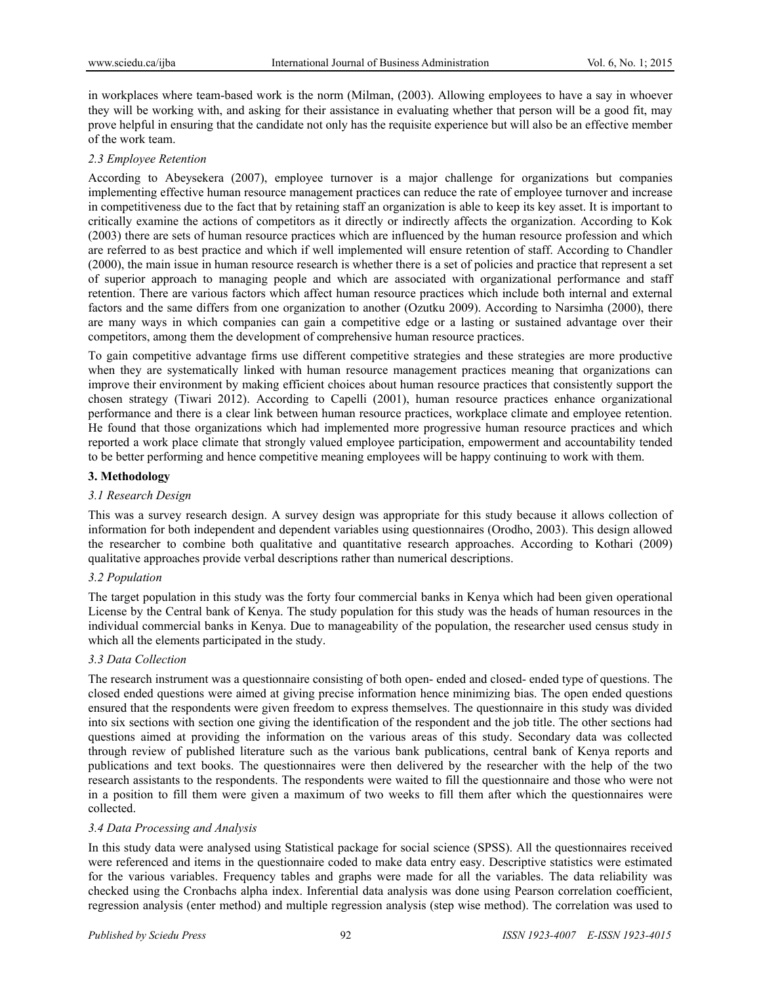in workplaces where team-based work is the norm (Milman, (2003). Allowing employees to have a say in whoever they will be working with, and asking for their assistance in evaluating whether that person will be a good fit, may prove helpful in ensuring that the candidate not only has the requisite experience but will also be an effective member of the work team.

# *2.3 Employee Retention*

According to Abeysekera (2007), employee turnover is a major challenge for organizations but companies implementing effective human resource management practices can reduce the rate of employee turnover and increase in competitiveness due to the fact that by retaining staff an organization is able to keep its key asset. It is important to critically examine the actions of competitors as it directly or indirectly affects the organization. According to Kok (2003) there are sets of human resource practices which are influenced by the human resource profession and which are referred to as best practice and which if well implemented will ensure retention of staff. According to Chandler (2000), the main issue in human resource research is whether there is a set of policies and practice that represent a set of superior approach to managing people and which are associated with organizational performance and staff retention. There are various factors which affect human resource practices which include both internal and external factors and the same differs from one organization to another (Ozutku 2009). According to Narsimha (2000), there are many ways in which companies can gain a competitive edge or a lasting or sustained advantage over their competitors, among them the development of comprehensive human resource practices.

To gain competitive advantage firms use different competitive strategies and these strategies are more productive when they are systematically linked with human resource management practices meaning that organizations can improve their environment by making efficient choices about human resource practices that consistently support the chosen strategy (Tiwari 2012). According to Capelli (2001), human resource practices enhance organizational performance and there is a clear link between human resource practices, workplace climate and employee retention. He found that those organizations which had implemented more progressive human resource practices and which reported a work place climate that strongly valued employee participation, empowerment and accountability tended to be better performing and hence competitive meaning employees will be happy continuing to work with them.

# **3. Methodology**

# *3.1 Research Design*

This was a survey research design. A survey design was appropriate for this study because it allows collection of information for both independent and dependent variables using questionnaires (Orodho, 2003). This design allowed the researcher to combine both qualitative and quantitative research approaches. According to Kothari (2009) qualitative approaches provide verbal descriptions rather than numerical descriptions.

# *3.2 Population*

The target population in this study was the forty four commercial banks in Kenya which had been given operational License by the Central bank of Kenya. The study population for this study was the heads of human resources in the individual commercial banks in Kenya. Due to manageability of the population, the researcher used census study in which all the elements participated in the study.

# *3.3 Data Collection*

The research instrument was a questionnaire consisting of both open- ended and closed- ended type of questions. The closed ended questions were aimed at giving precise information hence minimizing bias. The open ended questions ensured that the respondents were given freedom to express themselves. The questionnaire in this study was divided into six sections with section one giving the identification of the respondent and the job title. The other sections had questions aimed at providing the information on the various areas of this study. Secondary data was collected through review of published literature such as the various bank publications, central bank of Kenya reports and publications and text books. The questionnaires were then delivered by the researcher with the help of the two research assistants to the respondents. The respondents were waited to fill the questionnaire and those who were not in a position to fill them were given a maximum of two weeks to fill them after which the questionnaires were collected.

# *3.4 Data Processing and Analysis*

In this study data were analysed using Statistical package for social science (SPSS). All the questionnaires received were referenced and items in the questionnaire coded to make data entry easy. Descriptive statistics were estimated for the various variables. Frequency tables and graphs were made for all the variables. The data reliability was checked using the Cronbachs alpha index. Inferential data analysis was done using Pearson correlation coefficient, regression analysis (enter method) and multiple regression analysis (step wise method). The correlation was used to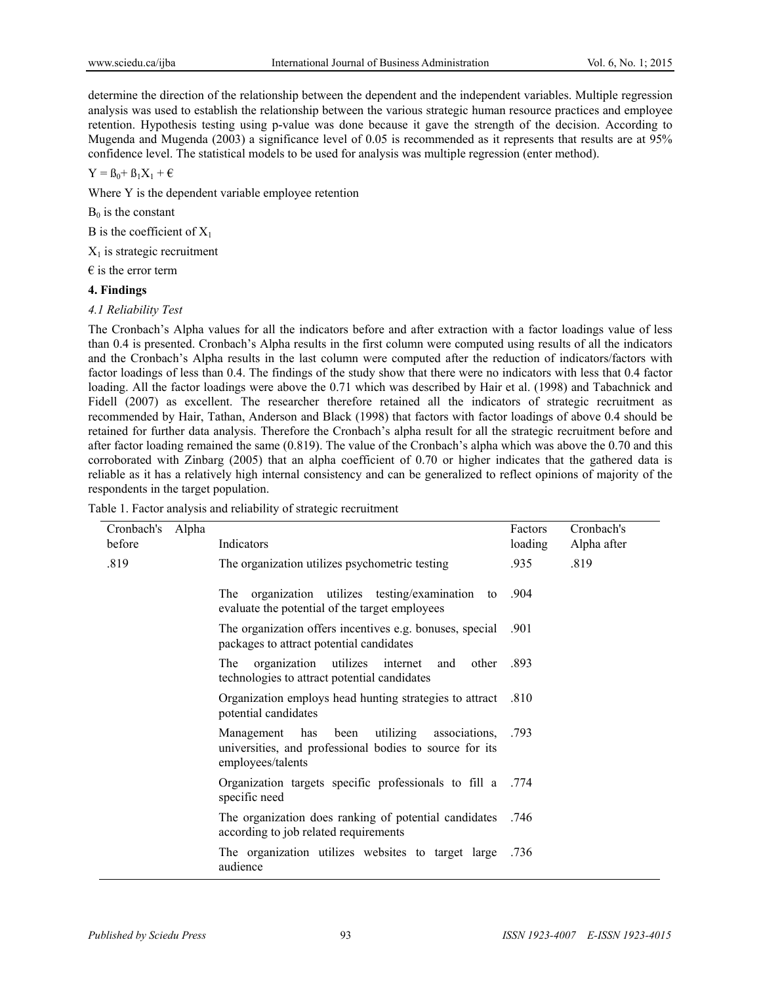determine the direction of the relationship between the dependent and the independent variables. Multiple regression analysis was used to establish the relationship between the various strategic human resource practices and employee retention. Hypothesis testing using p-value was done because it gave the strength of the decision. According to Mugenda and Mugenda (2003) a significance level of 0.05 is recommended as it represents that results are at 95% confidence level. The statistical models to be used for analysis was multiple regression (enter method).

 $Y = \beta_0 + \beta_1 X_1 + \epsilon$ 

Where Y is the dependent variable employee retention

 $B_0$  is the constant

B is the coefficient of  $X_1$ 

 $X_1$  is strategic recruitment

 $\epsilon$  is the error term

# **4. Findings**

*4.1 Reliability Test* 

The Cronbach's Alpha values for all the indicators before and after extraction with a factor loadings value of less than 0.4 is presented. Cronbach's Alpha results in the first column were computed using results of all the indicators and the Cronbach's Alpha results in the last column were computed after the reduction of indicators/factors with factor loadings of less than 0.4. The findings of the study show that there were no indicators with less that 0.4 factor loading. All the factor loadings were above the 0.71 which was described by Hair et al. (1998) and Tabachnick and Fidell (2007) as excellent. The researcher therefore retained all the indicators of strategic recruitment as recommended by Hair, Tathan, Anderson and Black (1998) that factors with factor loadings of above 0.4 should be retained for further data analysis. Therefore the Cronbach's alpha result for all the strategic recruitment before and after factor loading remained the same (0.819). The value of the Cronbach's alpha which was above the 0.70 and this corroborated with Zinbarg (2005) that an alpha coefficient of 0.70 or higher indicates that the gathered data is reliable as it has a relatively high internal consistency and can be generalized to reflect opinions of majority of the respondents in the target population.

|  |  | Table 1. Factor analysis and reliability of strategic recruitment |
|--|--|-------------------------------------------------------------------|
|  |  |                                                                   |

| Cronbach's<br>before | Alpha | Indicators                                                                                                                           | Factors<br>loading | Cronbach's<br>Alpha after |
|----------------------|-------|--------------------------------------------------------------------------------------------------------------------------------------|--------------------|---------------------------|
|                      |       |                                                                                                                                      |                    |                           |
| .819                 |       | The organization utilizes psychometric testing                                                                                       | .935               | .819                      |
|                      |       | organization utilizes testing/examination to<br>The<br>evaluate the potential of the target employees                                | .904               |                           |
|                      |       | The organization offers incentives e.g. bonuses, special<br>packages to attract potential candidates                                 | .901               |                           |
|                      |       | organization utilizes internet and<br>The<br>other<br>technologies to attract potential candidates                                   | .893               |                           |
|                      |       | Organization employs head hunting strategies to attract<br>potential candidates                                                      | .810               |                           |
|                      |       | Management has<br>utilizing<br>been<br>associations,<br>universities, and professional bodies to source for its<br>employees/talents | .793               |                           |
|                      |       | Organization targets specific professionals to fill a .774<br>specific need                                                          |                    |                           |
|                      |       | The organization does ranking of potential candidates<br>according to job related requirements                                       | .746               |                           |
|                      |       | The organization utilizes websites to target large<br>audience                                                                       | .736               |                           |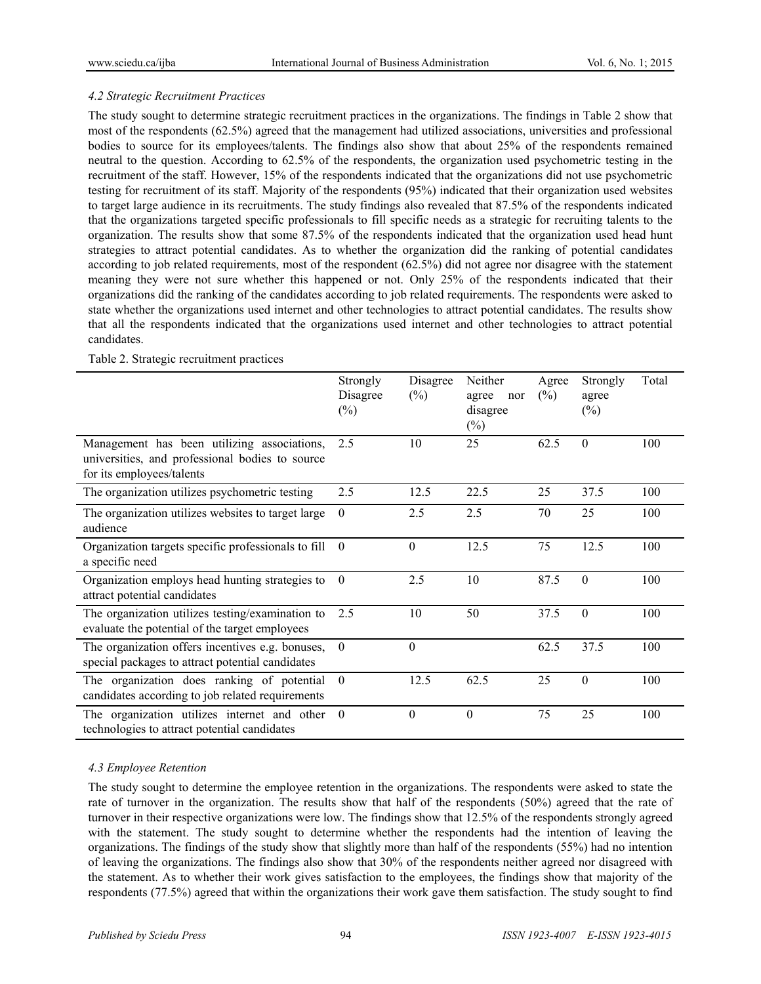# *4.2 Strategic Recruitment Practices*

The study sought to determine strategic recruitment practices in the organizations. The findings in Table 2 show that most of the respondents (62.5%) agreed that the management had utilized associations, universities and professional bodies to source for its employees/talents. The findings also show that about 25% of the respondents remained neutral to the question. According to 62.5% of the respondents, the organization used psychometric testing in the recruitment of the staff. However, 15% of the respondents indicated that the organizations did not use psychometric testing for recruitment of its staff. Majority of the respondents (95%) indicated that their organization used websites to target large audience in its recruitments. The study findings also revealed that 87.5% of the respondents indicated that the organizations targeted specific professionals to fill specific needs as a strategic for recruiting talents to the organization. The results show that some 87.5% of the respondents indicated that the organization used head hunt strategies to attract potential candidates. As to whether the organization did the ranking of potential candidates according to job related requirements, most of the respondent (62.5%) did not agree nor disagree with the statement meaning they were not sure whether this happened or not. Only 25% of the respondents indicated that their organizations did the ranking of the candidates according to job related requirements. The respondents were asked to state whether the organizations used internet and other technologies to attract potential candidates. The results show that all the respondents indicated that the organizations used internet and other technologies to attract potential candidates.

|                                                                                                                             | Strongly<br>Disagree<br>$(\%)$ | Disagree<br>$(\%)$ | Neither<br>agree<br>nor<br>disagree<br>$(\%)$ | Agree<br>$(\%)$ | Strongly<br>agree<br>$(\%)$ | Total |
|-----------------------------------------------------------------------------------------------------------------------------|--------------------------------|--------------------|-----------------------------------------------|-----------------|-----------------------------|-------|
| Management has been utilizing associations,<br>universities, and professional bodies to source<br>for its employees/talents | 2.5                            | 10                 | 25                                            | 62.5            | $\theta$                    | 100   |
| The organization utilizes psychometric testing                                                                              | 2.5                            | 12.5               | 22.5                                          | 25              | 37.5                        | 100   |
| The organization utilizes websites to target large<br>audience                                                              | $\theta$                       | 2.5                | 2.5                                           | 70              | 25                          | 100   |
| Organization targets specific professionals to fill<br>a specific need                                                      | $\mathbf{0}$                   | $\boldsymbol{0}$   | 12.5                                          | 75              | 12.5                        | 100   |
| Organization employs head hunting strategies to<br>attract potential candidates                                             | $\theta$                       | 2.5                | 10                                            | 87.5            | $\Omega$                    | 100   |
| The organization utilizes testing/examination to<br>evaluate the potential of the target employees                          | 2.5                            | 10                 | 50                                            | 37.5            | $\mathbf{0}$                | 100   |
| The organization offers incentives e.g. bonuses,<br>special packages to attract potential candidates                        | $\theta$                       | $\mathbf{0}$       |                                               | 62.5            | 37.5                        | 100   |
| The organization does ranking of potential<br>candidates according to job related requirements                              | $\theta$                       | 12.5               | 62.5                                          | 25              | $\theta$                    | 100   |
| The organization utilizes internet and other<br>technologies to attract potential candidates                                | $\overline{0}$                 | $\theta$           | $\boldsymbol{0}$                              | 75              | 25                          | 100   |

Table 2. Strategic recruitment practices

# *4.3 Employee Retention*

The study sought to determine the employee retention in the organizations. The respondents were asked to state the rate of turnover in the organization. The results show that half of the respondents (50%) agreed that the rate of turnover in their respective organizations were low. The findings show that 12.5% of the respondents strongly agreed with the statement. The study sought to determine whether the respondents had the intention of leaving the organizations. The findings of the study show that slightly more than half of the respondents (55%) had no intention of leaving the organizations. The findings also show that 30% of the respondents neither agreed nor disagreed with the statement. As to whether their work gives satisfaction to the employees, the findings show that majority of the respondents (77.5%) agreed that within the organizations their work gave them satisfaction. The study sought to find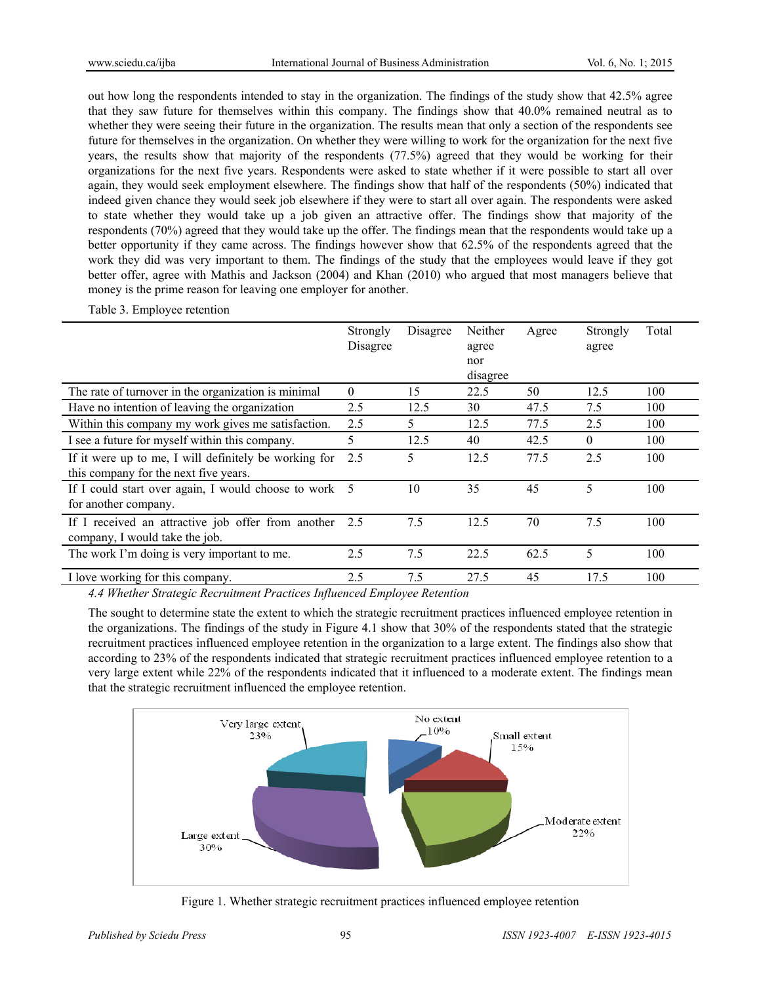out how long the respondents intended to stay in the organization. The findings of the study show that 42.5% agree that they saw future for themselves within this company. The findings show that 40.0% remained neutral as to whether they were seeing their future in the organization. The results mean that only a section of the respondents see future for themselves in the organization. On whether they were willing to work for the organization for the next five years, the results show that majority of the respondents (77.5%) agreed that they would be working for their organizations for the next five years. Respondents were asked to state whether if it were possible to start all over again, they would seek employment elsewhere. The findings show that half of the respondents (50%) indicated that indeed given chance they would seek job elsewhere if they were to start all over again. The respondents were asked to state whether they would take up a job given an attractive offer. The findings show that majority of the respondents (70%) agreed that they would take up the offer. The findings mean that the respondents would take up a better opportunity if they came across. The findings however show that 62.5% of the respondents agreed that the work they did was very important to them. The findings of the study that the employees would leave if they got better offer, agree with Mathis and Jackson (2004) and Khan (2010) who argued that most managers believe that money is the prime reason for leaving one employer for another.

Table 3. Employee retention

|                                                                                                | Strongly<br>Disagree | Disagree | Neither<br>agree<br>nor<br>disagree | Agree | Strongly<br>agree | Total |
|------------------------------------------------------------------------------------------------|----------------------|----------|-------------------------------------|-------|-------------------|-------|
| The rate of turnover in the organization is minimal                                            | $\theta$             | 15       | 22.5                                | 50    | 12.5              | 100   |
| Have no intention of leaving the organization                                                  | 2.5                  | 12.5     | 30                                  | 47.5  | 7.5               | 100   |
| Within this company my work gives me satisfaction.                                             | 2.5                  | 5.       | 12.5                                | 77.5  | 2.5               | 100   |
| I see a future for myself within this company.                                                 | 5.                   | 12.5     | 40                                  | 42.5  | $\theta$          | 100   |
| If it were up to me, I will definitely be working for<br>this company for the next five years. | 2.5                  | 5.       | 12.5                                | 77.5  | 2.5               | 100   |
| If I could start over again, I would choose to work 5<br>for another company.                  |                      | 10       | 35                                  | 45    | 5                 | 100   |
| If I received an attractive job offer from another<br>company, I would take the job.           | 2.5                  | 7.5      | 12.5                                | 70    | 7.5               | 100   |
| The work I'm doing is very important to me.                                                    | 2.5                  | 7.5      | 22.5                                | 62.5  | $\sim$            | 100   |
| I love working for this company.                                                               | 2.5                  | 7.5      | 27.5                                | 45    | 17.5              | 100   |

*4.4 Whether Strategic Recruitment Practices Influenced Employee Retention* 

The sought to determine state the extent to which the strategic recruitment practices influenced employee retention in the organizations. The findings of the study in Figure 4.1 show that 30% of the respondents stated that the strategic recruitment practices influenced employee retention in the organization to a large extent. The findings also show that according to 23% of the respondents indicated that strategic recruitment practices influenced employee retention to a very large extent while 22% of the respondents indicated that it influenced to a moderate extent. The findings mean that the strategic recruitment influenced the employee retention.



Figure 1. Whether strategic recruitment practices influenced employee retention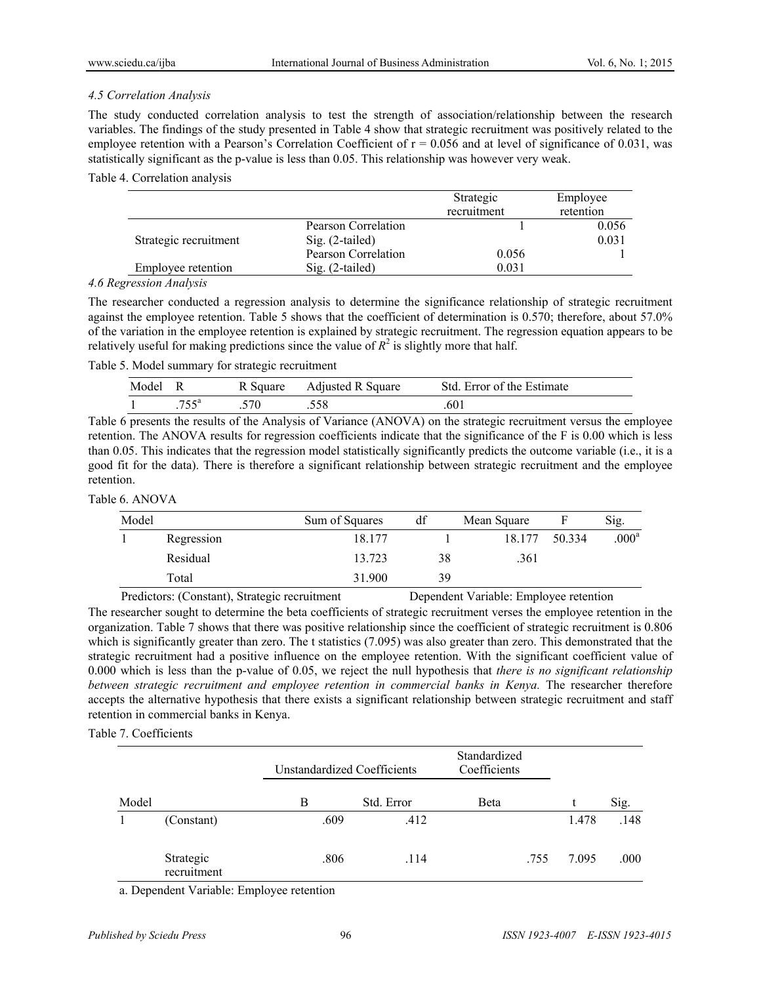# *4.5 Correlation Analysis*

The study conducted correlation analysis to test the strength of association/relationship between the research variables. The findings of the study presented in Table 4 show that strategic recruitment was positively related to the employee retention with a Pearson's Correlation Coefficient of  $r = 0.056$  and at level of significance of 0.031, was statistically significant as the p-value is less than 0.05. This relationship was however very weak.

#### Table 4. Correlation analysis

|                       |                                      | Strategic   | Employee  |
|-----------------------|--------------------------------------|-------------|-----------|
|                       |                                      | recruitment | retention |
|                       | Pearson Correlation                  |             | 0.056     |
| Strategic recruitment | $Sig. (2-tailed)$                    |             | 0.031     |
|                       | Pearson Correlation                  | 0.056       |           |
| Employee retention    | $\mathrm{Si}\mathrm{g}$ . (2-tailed) | 0.031       |           |

#### *4.6 Regression Analysis*

The researcher conducted a regression analysis to determine the significance relationship of strategic recruitment against the employee retention. Table 5 shows that the coefficient of determination is 0.570; therefore, about 57.0% of the variation in the employee retention is explained by strategic recruitment. The regression equation appears to be relatively useful for making predictions since the value of  $R^2$  is slightly more that half.

Table 5. Model summary for strategic recruitment

| Model R |                     | R Square | <b>Adjusted R Square</b> | Std. Error of the Estimate |
|---------|---------------------|----------|--------------------------|----------------------------|
|         | $.755^{\mathrm{a}}$ | 570      | .558                     | 60                         |

Table 6 presents the results of the Analysis of Variance (ANOVA) on the strategic recruitment versus the employee retention. The ANOVA results for regression coefficients indicate that the significance of the F is 0.00 which is less than 0.05. This indicates that the regression model statistically significantly predicts the outcome variable (i.e., it is a good fit for the data). There is therefore a significant relationship between strategic recruitment and the employee retention.

Table 6. ANOVA

| Model |            | Sum of Squares | df | Mean Square |        | Sig.              |
|-------|------------|----------------|----|-------------|--------|-------------------|
|       | Regression | 18.177         |    | 18.177      | 50.334 | .000 <sup>a</sup> |
|       | Residual   | 13.723         | 38 | .361        |        |                   |
|       | Total      | 31.900         | 39 |             |        |                   |

Predictors: (Constant), Strategic recruitment Dependent Variable: Employee retention

The researcher sought to determine the beta coefficients of strategic recruitment verses the employee retention in the organization. Table 7 shows that there was positive relationship since the coefficient of strategic recruitment is 0.806 which is significantly greater than zero. The t statistics (7.095) was also greater than zero. This demonstrated that the strategic recruitment had a positive influence on the employee retention. With the significant coefficient value of 0.000 which is less than the p-value of 0.05, we reject the null hypothesis that *there is no significant relationship between strategic recruitment and employee retention in commercial banks in Kenya.* The researcher therefore accepts the alternative hypothesis that there exists a significant relationship between strategic recruitment and staff retention in commercial banks in Kenya.

Table 7. Coefficients

|       |                          |      | Standardized<br>Coefficients<br>Unstandardized Coefficients |              |      |       |      |
|-------|--------------------------|------|-------------------------------------------------------------|--------------|------|-------|------|
| Model |                          | В    | Std. Error                                                  | <b>B</b> eta |      |       | Sig. |
|       | (Constant)               | .609 | .412                                                        |              |      | 1.478 | .148 |
|       | Strategic<br>recruitment | .806 | .114                                                        |              | .755 | 7.095 | .000 |

a. Dependent Variable: Employee retention